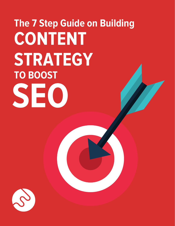## **The 7 Step Guide on Building TO BOOST CONTENT STRATEGY SEO**

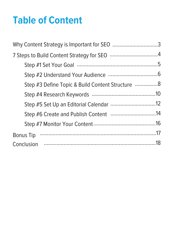### **Table of Content**

| Why Content Strategy is Important for SEO 3      |  |
|--------------------------------------------------|--|
|                                                  |  |
|                                                  |  |
|                                                  |  |
| Step #3 Define Topic & Build Content Structure 8 |  |
|                                                  |  |
|                                                  |  |
|                                                  |  |
|                                                  |  |
|                                                  |  |
|                                                  |  |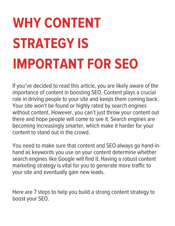## **WHY CONTENT STRATEGY IS IMPORTANT FOR SEO**

If you've decided to read this article, you are likely aware of the importance of content in boosting SEO. Content plays a crucial role in driving people to your site and keeps them coming back. Your site won't be found or highly rated by search engines without content. However, you can't just throw your content out there and hope people will come to see it. Search engines are becoming increasingly smarter, which make it harder for your content to stand out in the crowd.

You need to make sure that content and SEO always go hand-inhand as keywords you use on your content determine whether search engines like Google will find it. Having a robust content marketing strategy is vital for you to generate more traffic to your site and eventually gain new leads.

Here are 7 steps to help you build a strong content strategy to boost your SEO.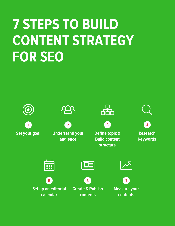### **7 STEPS TO BUILD CONTENT STRATEGY FOR SEO**

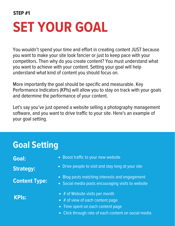## **SET YOUR GOAL**

You wouldn't spend your time and effort in creating content JUST because you want to make your site look fancier or just to keep pace with your competitors. Then why do you create content? You must understand what you want to achieve with your content. Setting your goal will help understand what kind of content you should focus on.

More importantly the goal should be specific and measurable. Key Performance Indicators (KPIs) will allow you to stay on track with your goals and determine the performance of your content.

Let's say you've just opened a website selling a photography management software, and you want to drive traffic to your site. Here's an example of your goal setting.

### **Goal Setting**

**Content Type:**

**KPIs:**

- **Goal:** Coal: **Coal:** Coal: **Coal:** Coal: Coal: Coal: Coal: Coal: Coal: Coal: Coal: Coal: Coal: Coal: Coal: Coal: Coal: Coal: Coal: Coal: Coal: Coal: Coal: Coal: Coal: Coal: Coal: Coal: Coal: Coal: Coal: Coal: Coal: Coal:
- **Strategy:** Drive people to visit and stay long at your site
	- Blog posts matching interests and engagement
	- Social media posts encouraging visits to website
	- $\bullet$  # of Website visits per month
	- $\bullet$  # of view of each content page
	- Time spent on each content page
	- Click through rate of each content on social media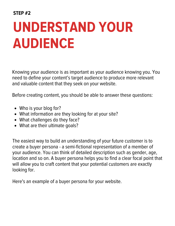## **UNDERSTAND YOUR AUDIENCE**

Knowing your audience is as important as your audience knowing you. You need to define your content's target audience to produce more relevant and valuable content that they seek on your website.

Before creating content, you should be able to answer these questions:

- Who is your blog for?
- What information are they looking for at your site?
- What challenges do they face?
- What are their ultimate goals?

The easiest way to build an understanding of your future customer is to create a buyer persona - a semi-fictional representation of a member of your audience. You can think of detailed description such as gender, age, location and so on. A buyer persona helps you to find a clear focal point that will allow you to craft content that your potential customers are exactly looking for.

Here's an example of a buyer persona for your website.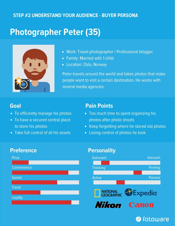#### **STEP #2 UNDERSTAND YOUR AUDIENCE - BUYER PERSONA**

### **Photographer Peter (35)**



- Work: Travel photographer / Professional blogger
- Family: Married with 1 child
- Location: Oslo, Norway

Peter travels around the world and takes photos that make people want to visit a certain destination. He works with several media agencies.

#### **Goal**

- To efficiently manage his photos
- To have a secured central place to store his photos
- Take full control of all his assets

#### **Pain Points**

- Too much time to spent organizing his photos after photo shoots
- Keep forgetting where he stored old photos
- Losing control of photos he took



#### **Preference Personality**



**S** Fotoware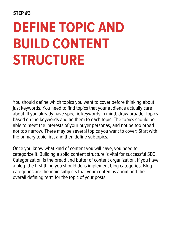### **DEFINE TOPIC AND BUILD CONTENT STRUCTURE**

You should define which topics you want to cover before thinking about just keywords. You need to find topics that your audience actually care about. If you already have specific keywords in mind, draw broader topics based on the keywords and tie them to each topic. The topics should be able to meet the interests of your buyer personas, and not be too broad nor too narrow. There may be several topics you want to cover: Start with the primary topic first and then define subtopics.

Once you know what kind of content you will have, you need to categorize it. Building a solid content structure is vital for successful SEO. Categorization is the bread and butter of content organization. If you have a blog, the first thing you should do is implement blog categories. Blog categories are the main subjects that your content is about and the overall defining term for the topic of your posts.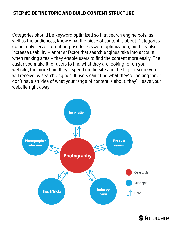#### **STEP #3 DEFINE TOPIC AND BUILD CONTENT STRUCTURE**

Categories should be keyword optimized so that search engine bots, as well as the audiences, know what the piece of content is about. Categories do not only serve a great purpose for keyword optimization, but they also increase usability – another factor that search engines take into account when ranking sites – they enable users to find the content more easily. The easier you make it for users to find what they are looking for on your website, the more time they'll spend on the site and the higher score you will receive by search engines. If users can't find what they're looking for or don't have an idea of what your range of content is about, they'll leave your website right away.



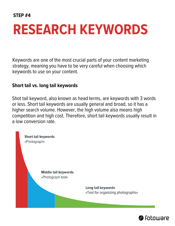### **RESEARCH KEYWORDS**

Keywords are one of the most crucial parts of your content marketing strategy, meaning you have to be very careful when choosing which keywords to use on your content.

#### **Short tail vs. long tail keywords**

Shot tail keyword, also known as head terms, are keywords with 3 words or less. Short tail keywords are usually general and broad, so it has a higher search volume. However, the high volume also means high competition and high cost. Therefore, short tail keywords usually result in a low conversion rate.



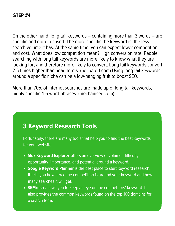On the other hand, long tail keywords – containing more than 3 words – are specific and more focused. The more specific the keyword is, the less search volume it has. At the same time, you can expect lower competition and cost. What does low competition mean? High conversion rate! People searching with long tail keywords are more likely to know what they are looking for, and therefore more likely to convert. Long tail keywords convert 2.5 times higher than head terms. (neilpaterl.com) Using long tail keywords around a specific niche can be a low-hanging fruit to boost SEO.

More than 70% of internet searches are made up of long tail keywords, highly specific 4-6 word phrases. (mechanised.com)

#### **3 Keyword Research Tools**

Fortunately, there are many tools that help you to find the best keywords for your website.

- Moz [Keyword](https://moz.com/explorer) Explorer offers an overview of volume, difficulty, opportunity, importance, and potential around a keyword.
- Google [Keyword](https://adwords.google.com/ko/KeywordPlanner/Home) Planner is the best place to start keyword research. It tells you how fierce the competition is around your keyword and how many searches it will get.
- **[SEMrush](https://www.semrush.com/)** allows you to keep an eye on the competitors' keyword. It also provides the common keywords found on the top 100 domains for a search term.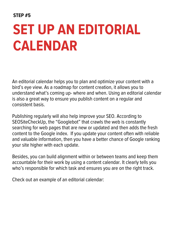### **SET UP AN EDITORIAL CALENDAR**

An editorial calendar helps you to plan and optimize your content with a bird's eye view. As a roadmap for content creation, it allows you to understand what's coming up- where and when. Using an editorial calendar is also a great way to ensure you publish content on a regular and consistent basis.

Publishing regularly will also help improve your SEO. According to SEOSiteCheckUp, the "Googlebot" that crawls the web is constantly searching for web pages that are new or updated and then adds the fresh content to the Google index. If you update your content often with reliable and valuable information, then you have a better chance of Google ranking your site higher with each update.

Besides, you can build alignment within or between teams and keep them accountable for their work by using a content calendar. It clearly tells you who's responsible for which task and ensures you are on the right track.

Check out an example of an editorial calendar: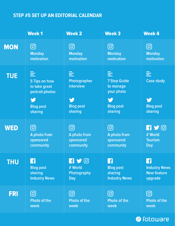#### **STEP #5 SET UP AN EDITORIAL CALENDAR**

|            | <b>Week1</b>                                                                               | <b>Week 2</b>                                                      | <b>Week 3</b>                                                                           | <b>Week 4</b>                                              |
|------------|--------------------------------------------------------------------------------------------|--------------------------------------------------------------------|-----------------------------------------------------------------------------------------|------------------------------------------------------------|
| <b>MON</b> | <u>ර</u>                                                                                   |                                                                    |                                                                                         |                                                            |
|            | <b>Monday</b>                                                                              | <b>Monday</b>                                                      | <b>Monday</b>                                                                           | <b>Monday</b>                                              |
|            | motivation                                                                                 | motivation                                                         | motivation                                                                              | motivation                                                 |
| <b>TUE</b> | 들<br>5 Tips on how<br>to take great<br>portrait photos<br>y<br><b>Blog post</b><br>sharing | 亖<br>Photographer<br>interview<br>V<br><b>Blog post</b><br>sharing | 들<br><b>7 Step Guide</b><br>to manage<br>your photo<br>y<br><b>Blog post</b><br>sharing | 亖<br><b>Case study</b><br>V<br><b>Blog post</b><br>sharing |
| <b>WED</b> | ල                                                                                          | <u>ර</u>                                                           |                                                                                         | $\blacksquare$                                             |
|            | A photo from                                                                               | A photo from                                                       | A photo from                                                                            | # World                                                    |
|            | sponsored                                                                                  | sponsored                                                          | sponsored                                                                               | <b>Tourism</b>                                             |
|            | community                                                                                  | community                                                          | community                                                                               | <b>Day</b>                                                 |
| <b>THU</b> | £                                                                                          | $\mathbf{G} \blacktriangleright \mathbf{G}$                        | ß                                                                                       | £                                                          |
|            | <b>Blog post</b>                                                                           | # World                                                            | <b>Blog post</b>                                                                        | <b>Industry News</b>                                       |
|            | sharing                                                                                    | Photography                                                        | sharing                                                                                 | <b>New feature</b>                                         |
|            | <b>Industry News</b>                                                                       | <b>Day</b>                                                         | <b>Industry News</b>                                                                    | upgrade                                                    |
| <b>FRI</b> | ල                                                                                          | <u>ල</u>                                                           | <u> (ට</u>                                                                              | <u>ර</u>                                                   |
|            | <b>Photo of the</b>                                                                        | <b>Photo of the</b>                                                | <b>Photo of the</b>                                                                     | <b>Photo of the</b>                                        |
|            | week                                                                                       | week                                                               | week                                                                                    | week                                                       |

#### S Fotoware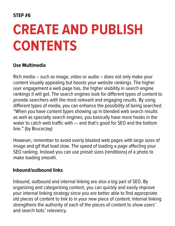### **CREATE AND PUBLISH CONTENTS**

#### **Use Multimedia**

Rich media – such as image, video or audio – does not only make your content visually appealing but boosts your website rankings. The higher user engagement a web page has, the higher visibility in search engine rankings it will get. The search engines look for different types of content to provide searchers with the most relevant and engaging results. By using different types of media, you can enhance the possibility of being searched. "When you have content types showing up in blended web search results as well as specialty search engines, you basically have more hooks in the water to catch web traffic with — and that's good for SEO and the bottom line." (by Bruceclay)

However, remember to avoid overly bloated web pages with large sizes of image and gif that load slow. The speed of loading a page affecting your SEO ranking. Instead you can use preset sizes (renditions) of a photo to make loading smooth.

#### **Inbound/outbound links**

Inbound, outbound and internal linking are also a big part of SEO. By organizing and categorizing content, you can quickly and easily improve your internal linking strategy since you are better able to find appropriate old pieces of content to link to in your new piece of content. Internal linking strengthens the authority of each of the pieces of content to show users' and search bots' relevancy.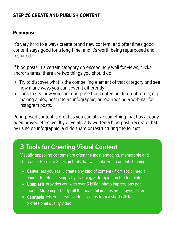#### **STEP #6 CREATE AND PUBLISH CONTENT**

#### **Repurpose**

It's very hard to always create brand new content, and oftentimes good content stays good for a long time, and it's worth being repurposed and reshared.

If blog posts in a certain category do exceedingly well for views, clicks, and/or shares, there are two things you should do:

- Try to discover what is the compelling element of that category and see how many ways you can cover it differently.
- Look to see how you can repurpose that content in different forms, e.g., making a blog post into an infographic, or repurposing a webinar for Instagram posts.

Repurposed content is great as you can utilize something that has already been proved effective. If you've already written a blog post, recreate that by using an infographic, a slide share or restructuring the format.

#### **3 Tools for Creating Visual Content**

Visually appealing contents are often the most engaging, memorable and shareable. Here are 3 design tools that will make your content stunning!

- [Canva](https://www.canva.com/) lets you easily create any kind of content from social media banner to eBook - simply by dragging & dropping on the templates
- [Unsplash](https://unsplash.com/) provides you with over 5 billion photo impressions per month. More importantly, all the beautiful images are copyright-free!
- **[Camtasia](https://www.techsmith.com/store/camtasia)** lets you create various videos from a short GIF to a professional quality video.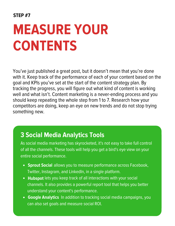### **MEASURE YOUR CONTENTS**

You've just published a great post, but it doesn't mean that you're done with it. Keep track of the performance of each of your content based on the goal and KPIs you've set at the start of the content strategy plan. By tracking the progress, you will figure out what kind of content is working well and what isn't. Content marketing is a never-ending process and you should keep repeating the whole step from 1 to 7. Research how your competitors are doing, keep an eye on new trends and do not stop trying something new.

### **3 Social Media Analytics Tools**

As social media marketing has skyrocketed, it's not easy to take full control of all the channels. These tools will help you get a bird's eye view on your entire social performance.

- **[Sprout](https://sproutsocial.com/) Social** allows you to measure performance across Facebook, Twitter, Instagram, and LinkedIn, in a single platform.
- [Hubspot](https://www.hubspot.com/) lets you keep track of all interactions with your social channels. It also provides a powerful report tool that helps you better understand your content's performance.
- Google [Analytics](https://analytics.google.com/analytics/web/) In addition to tracking social media campaigns, you can also set goals and measure social ROI.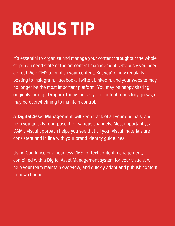# **BONUS TIP**

It's essential to organize and manage your content throughout the whole step. You need state of the art content management. Obviously you need a great Web CMS to publish your content. But you're now regularly posting to Instagram, Facebook, Twitter, LinkedIn, and your website may no longer be the most important platform. You may be happy sharing originals through Dropbox today, but as your content repository grows, it may be overwhelming to maintain control.

A Digital Asset [Management](http://www.fotoware.com/) will keep track of all your originals, and help you quickly repurpose it for various channels. Most importantly, a DAM's visual approach helps you see that all your visual materials are consistent and in line with your brand identity guidelines.

Using Conflunce or a headless CMS for text content management, combined with a Digital Asset Management system for your visuals, will help your team maintain overview, and quickly adapt and publish content to new channels.